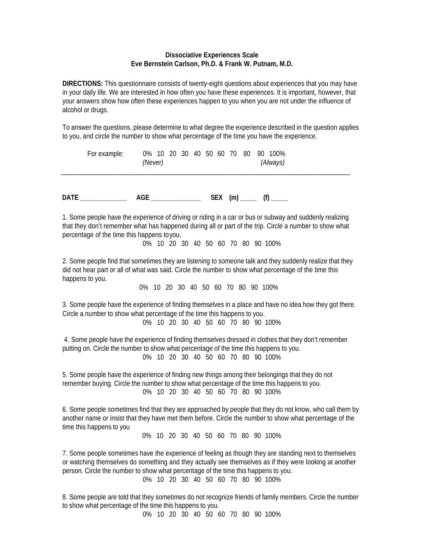## **Dissociative Experiences Scale Eve Bernstein Carlson, Ph.D. & Frank W. Putnam, M.D.**

**DIRECTIONS:** This questionnaire consists of twenty-eight questions about experiences that you may have in your daily life. We are interested in how often you have these experiences. It is important, however, that your answers show how often these experiences happen to you when you are not under the influence of alcohol or drugs.

To answer the questions, please determine to what degree the experience described in the question applies to you, and circle the number to show what percentage of the time you have the experience.

| For example: | (Never) | 0% 10 20 30 40 50 60 70 80 90 100%<br>(Always) |  |
|--------------|---------|------------------------------------------------|--|
| <b>DATE</b>  | AGE     | <b>SEX</b><br>(m)                              |  |

1. Some people have the experience of driving or riding in a car or bus or subway and suddenly realizing that they don't remember what has happened during all or part of the trip. Circle a number to show what percentage of the time this happens toyou.

0% 10 20 30 40 50 60 70 80 90 100%

2. Some people find that sometimes they are listening to someone talk and they suddenly realize that they did not hear part or all of what was said. Circle the number to show what percentage of the time this happens to you.

0% 10 20 30 40 50 60 70 80 90 100%

3. Some people have the experience of finding themselves in a place and have no idea how they got there. Circle a number to show what percentage of the time this happens to you.

0% 10 20 30 40 50 60 70 80 90 100%

4. Some people have the experience of finding themselves dressed in clothes that they don't remember putting on. Circle the number to show what percentage of the time this happens to you. 0% 10 20 30 40 50 60 70 80 90 100%

5. Some people have the experience of finding new things among their belongings that they do not remember buying. Circle the number to show what percentage of the time this happens to you. 0% 10 20 30 40 50 60 70 80 90 100%

6. Some people sometimes find that they are approached by people that they do not know, who call them by another name or insist that they have met them before. Circle the number to show what percentage of the time this happens to you

0% 10 20 30 40 50 60 70 80 90 100%

7. Some people sometimes have the experience of feeling as though they are standing next to themselves or watching themselves do something and they actually see themselves as if they were looking at another person. Circle the number to show what percentage of the time this happens to you.

0% 10 20 30 40 50 60 70 80 90 100%

8. Some people are told that they sometimes do not recognize friends of family members. Circle the number to show what percentage of the time this happens to you.

0% 10 20 30 40 50 60 70 80 90 100%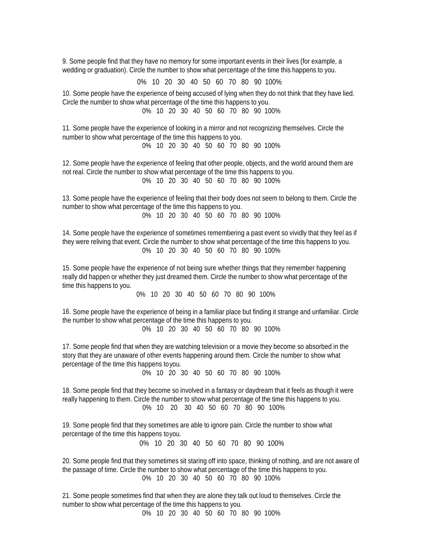9. Some people find that they have no memory for some important events in their lives (for example, a wedding or graduation). Circle the number to show what percentage of the time this happens to you.

0% 10 20 30 40 50 60 70 80 90 100%

10. Some people have the experience of being accused of lying when they do not think that they have lied. Circle the number to show what percentage of the time this happens to you. 0% 10 20 30 40 50 60 70 80 90 100%

11. Some people have the experience of looking in a mirror and not recognizing themselves. Circle the number to show what percentage of the time this happens to you. 0% 10 20 30 40 50 60 70 80 90 100%

12. Some people have the experience of feeling that other people, objects, and the world around them are not real. Circle the number to show what percentage of the time this happens to you. 0% 10 20 30 40 50 60 70 80 90 100%

13. Some people have the experience of feeling that their body does not seem to belong to them. Circle the number to show what percentage of the time this happens to you.

0% 10 20 30 40 50 60 70 80 90 100%

14. Some people have the experience of sometimes remembering a past event so vividly that they feel as if they were reliving that event. Circle the number to show what percentage of the time this happens to you. 0% 10 20 30 40 50 60 70 80 90 100%

15. Some people have the experience of not being sure whether things that they remember happening really did happen or whether they just dreamed them. Circle the number to show what percentage of the time this happens to you.

0% 10 20 30 40 50 60 70 80 90 100%

16. Some people have the experience of being in a familiar place but finding it strange and unfamiliar. Circle the number to show what percentage of the time this happens to you.

0% 10 20 30 40 50 60 70 80 90 100%

17. Some people find that when they are watching television or a movie they become so absorbed in the story that they are unaware of other events happening around them. Circle the number to show what percentage of the time this happens toyou.

0% 10 20 30 40 50 60 70 80 90 100%

18. Some people find that they become so involved in a fantasy or daydream that it feels as though it were really happening to them. Circle the number to show what percentage of the time this happens to you. 0% 10 20 30 40 50 60 70 80 90 100%

19. Some people find that they sometimes are able to ignore pain. Circle the number to show what percentage of the time this happens toyou.

0% 10 20 30 40 50 60 70 80 90 100%

20. Some people find that they sometimes sit staring off into space, thinking of nothing, and are not aware of the passage of time. Circle the number to show what percentage of the time this happens to you. 0% 10 20 30 40 50 60 70 80 90 100%

21. Some people sometimes find that when they are alone they talk out loud to themselves. Circle the number to show what percentage of the time this happens to you.

0% 10 20 30 40 50 60 70 80 90 100%